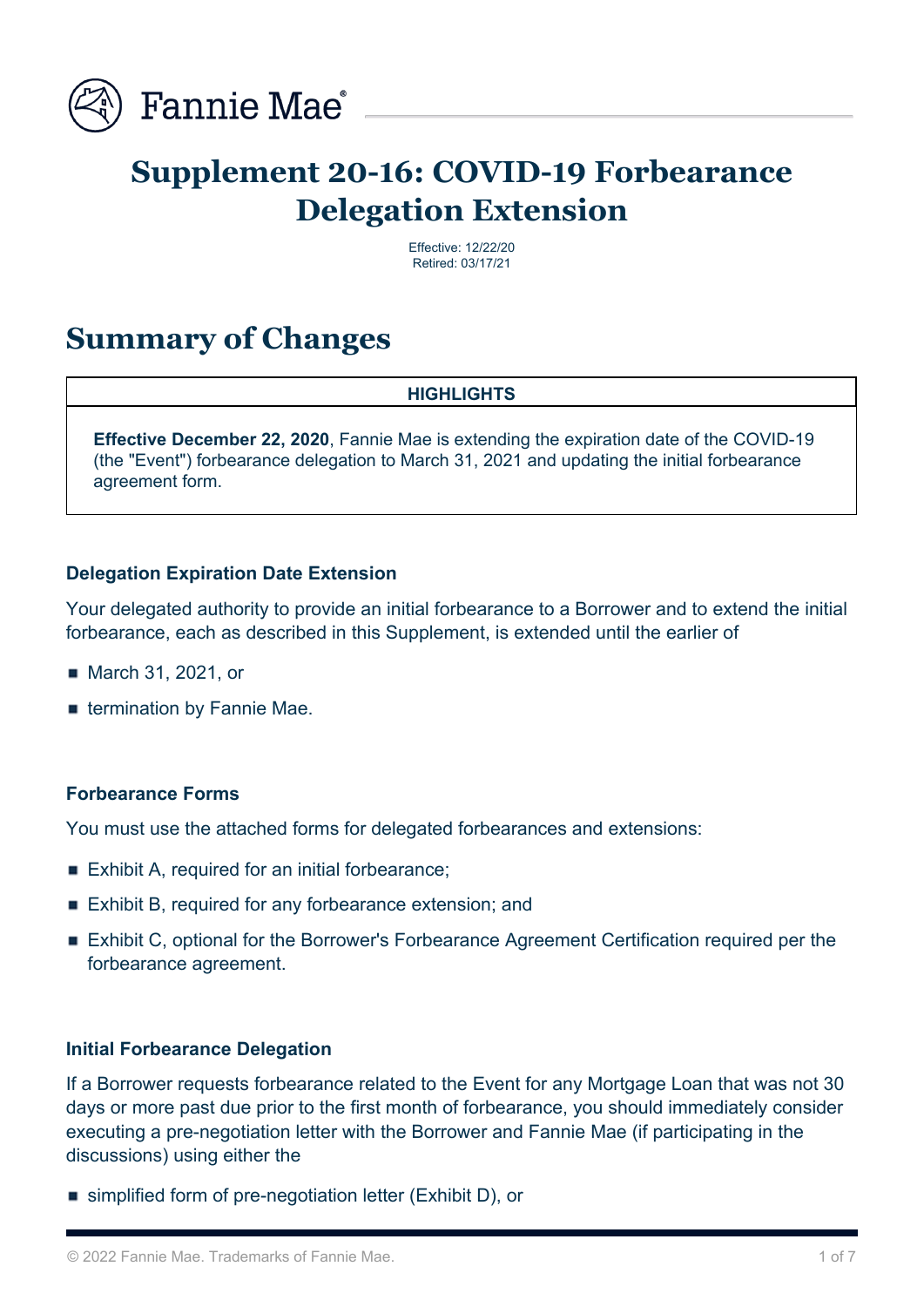

# **Supplement 20-16: COVID-19 Forbearance Delegation Extension**

Effective: 12/22/20 Retired: 03/17/21

## **Summary of Changes**

#### **HIGHLIGHTS**

**Effective December 22, 2020**, Fannie Mae is extending the expiration date of the COVID-19 (the "Event") forbearance delegation to March 31, 2021 and updating the initial forbearance agreement form.

## **Delegation Expiration Date Extension**

Your delegated authority to provide an initial forbearance to a Borrower and to extend the initial forbearance, each as described in this Supplement, is extended until the earlier of

- March 31, 2021, or
- **Exergination by Fannie Mae.**

#### **Forbearance Forms**

You must use the attached forms for delegated forbearances and extensions:

- Exhibit A, required for an initial forbearance;
- Exhibit B, required for any forbearance extension; and
- Exhibit C, optional for the Borrower's Forbearance Agreement Certification required per the forbearance agreement.

#### **Initial Forbearance Delegation**

If a Borrower requests forbearance related to the Event for any Mortgage Loan that was not 30 days or more past due prior to the first month of forbearance, you should immediately consider executing a pre-negotiation letter with the Borrower and Fannie Mae (if participating in the discussions) using either the

■ simplified form of pre-negotiation letter (Exhibit D), or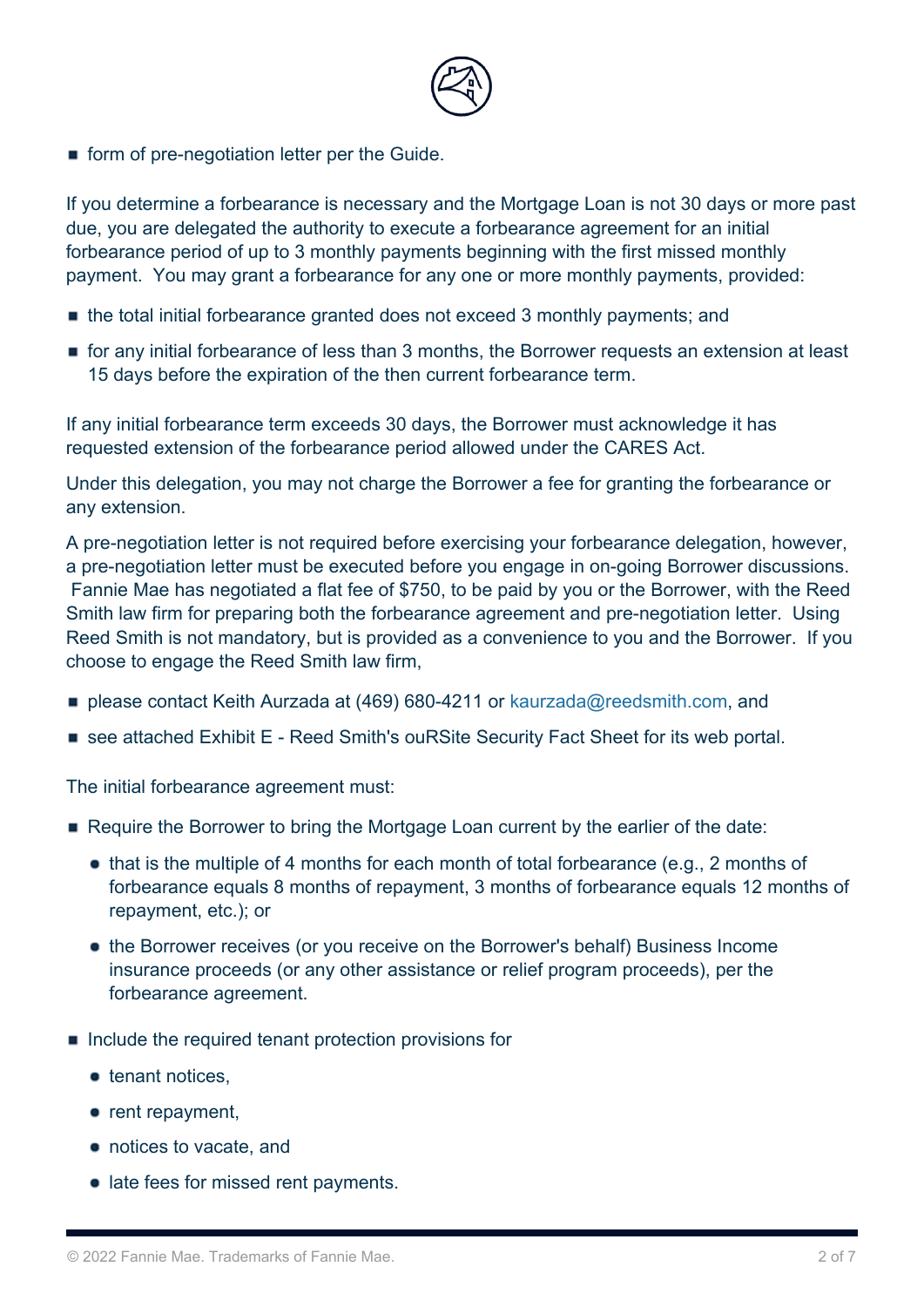

**form of pre-negotiation letter per the Guide.** 

If you determine a forbearance is necessary and the Mortgage Loan is not 30 days or more past due, you are delegated the authority to execute a forbearance agreement for an initial forbearance period of up to 3 monthly payments beginning with the first missed monthly payment. You may grant a forbearance for any one or more monthly payments, provided:

- the total initial forbearance granted does not exceed 3 monthly payments; and
- for any initial forbearance of less than 3 months, the Borrower requests an extension at least 15 days before the expiration of the then current forbearance term.

If any initial forbearance term exceeds 30 days, the Borrower must acknowledge it has requested extension of the forbearance period allowed under the CARES Act.

Under this delegation, you may not charge the Borrower a fee for granting the forbearance or any extension.

A pre-negotiation letter is not required before exercising your forbearance delegation, however, a pre-negotiation letter must be executed before you engage in on-going Borrower discussions. Fannie Mae has negotiated a flat fee of \$750, to be paid by you or the Borrower, with the Reed Smith law firm for preparing both the forbearance agreement and pre-negotiation letter. Using Reed Smith is not mandatory, but is provided as a convenience to you and the Borrower. If you choose to engage the Reed Smith law firm,

- please contact Keith Aurzada at (469) 680-4211 or [kaurzada@reedsmith.com,](mailto:kaurzada@reedsmith.com) and
- see attached Exhibit E Reed Smith's ouRSite Security Fact Sheet for its web portal.

The initial forbearance agreement must:

- Require the Borrower to bring the Mortgage Loan current by the earlier of the date:
	- $\bullet$  that is the multiple of 4 months for each month of total forbearance (e.g., 2 months of forbearance equals 8 months of repayment, 3 months of forbearance equals 12 months of repayment, etc.); or
	- the Borrower receives (or you receive on the Borrower's behalf) Business Income insurance proceeds (or any other assistance or relief program proceeds), per the forbearance agreement.
- $\blacksquare$  Include the required tenant protection provisions for
	- $\bullet$  tenant notices.
	- $\bullet$  rent repayment,
	- notices to vacate, and
	- late fees for missed rent payments.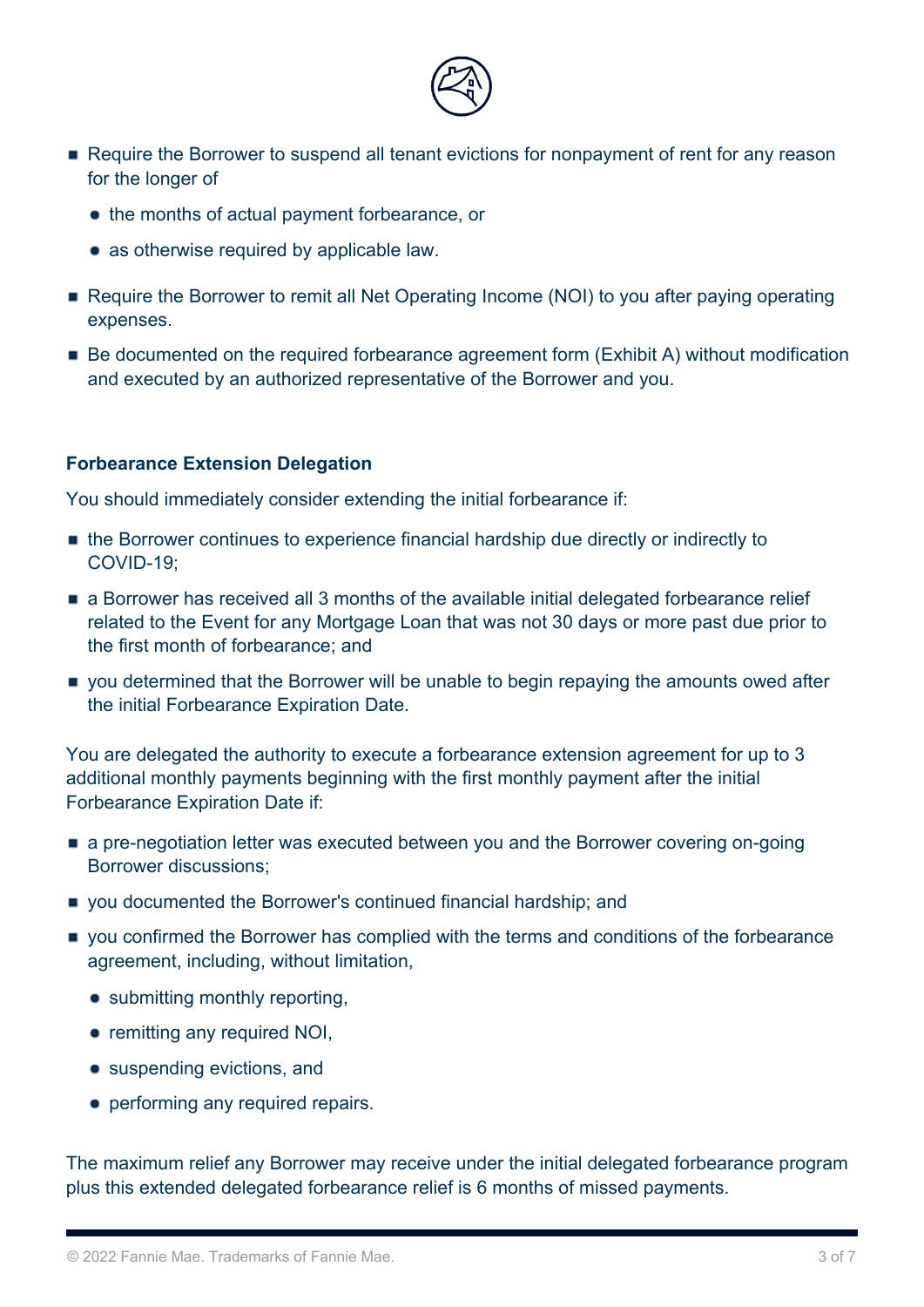

- Require the Borrower to suspend all tenant evictions for nonpayment of rent for any reason for the longer of
	- the months of actual payment forbearance, or
	- as otherwise required by applicable law.
- Require the Borrower to remit all Net Operating Income (NOI) to you after paying operating expenses.
- Be documented on the required forbearance agreement form (Exhibit A) without modification and executed by an authorized representative of the Borrower and you.

## **Forbearance Extension Delegation**

You should immediately consider extending the initial forbearance if:

- the Borrower continues to experience financial hardship due directly or indirectly to COVID-19;
- a Borrower has received all 3 months of the available initial delegated forbearance relief related to the Event for any Mortgage Loan that was not 30 days or more past due prior to the first month of forbearance; and
- you determined that the Borrower will be unable to begin repaying the amounts owed after the initial Forbearance Expiration Date.

You are delegated the authority to execute a forbearance extension agreement for up to 3 additional monthly payments beginning with the first monthly payment after the initial Forbearance Expiration Date if:

- a pre-negotiation letter was executed between you and the Borrower covering on-going Borrower discussions;
- vou documented the Borrower's continued financial hardship; and
- you confirmed the Borrower has complied with the terms and conditions of the forbearance agreement, including, without limitation,
	- submitting monthly reporting,
	- remitting any required NOI,
	- suspending evictions, and
	- performing any required repairs.

The maximum relief any Borrower may receive under the initial delegated forbearance program plus this extended delegated forbearance relief is 6 months of missed payments.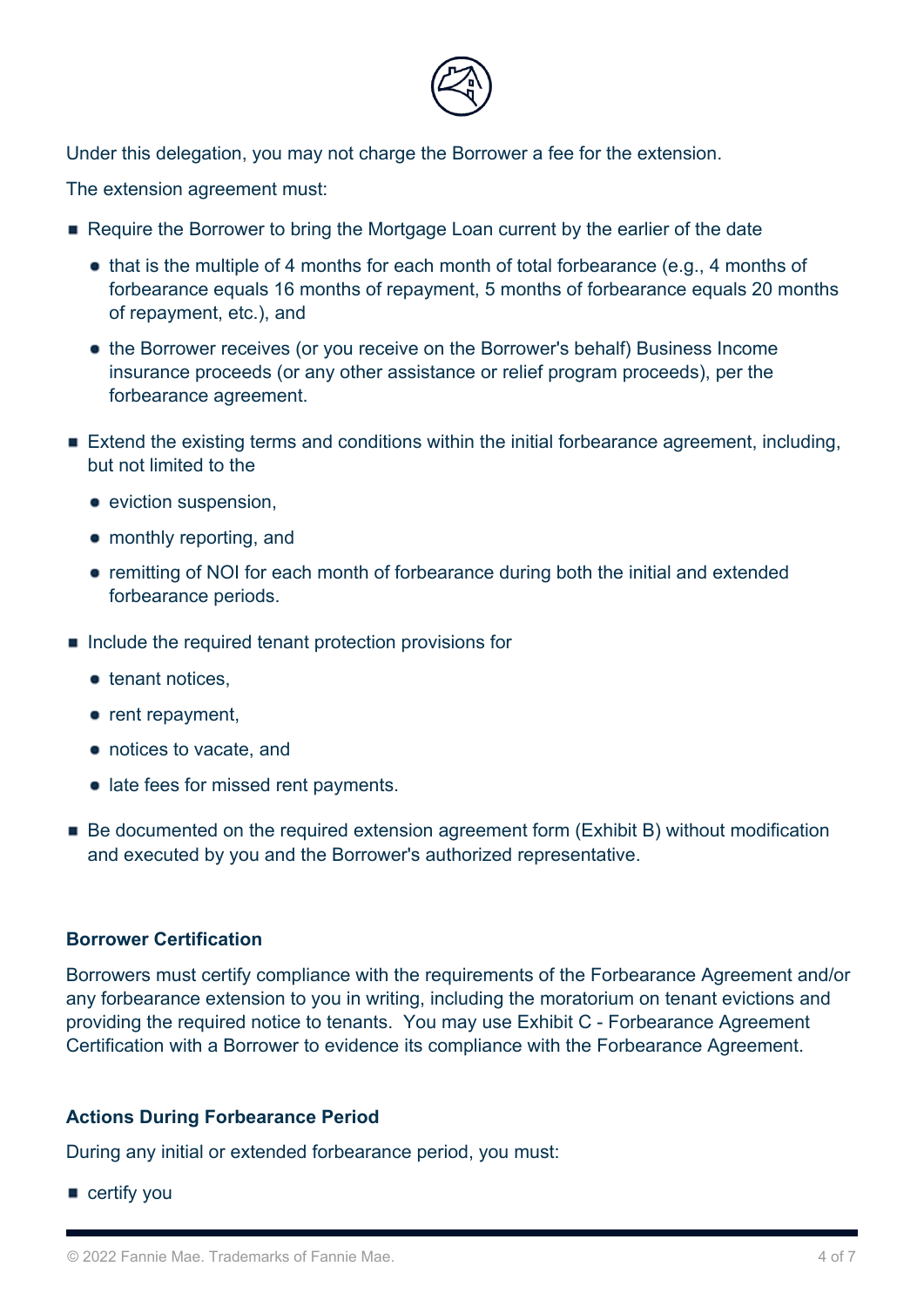

Under this delegation, you may not charge the Borrower a fee for the extension.

The extension agreement must:

- Require the Borrower to bring the Mortgage Loan current by the earlier of the date
	- that is the multiple of 4 months for each month of total forbearance (e.g., 4 months of forbearance equals 16 months of repayment, 5 months of forbearance equals 20 months of repayment, etc.), and
	- the Borrower receives (or you receive on the Borrower's behalf) Business Income insurance proceeds (or any other assistance or relief program proceeds), per the forbearance agreement.
- **Extend the existing terms and conditions within the initial forbearance agreement, including,** but not limited to the
	- **•** eviction suspension.
	- monthly reporting, and
	- remitting of NOI for each month of forbearance during both the initial and extended forbearance periods.
- $\blacksquare$  Include the required tenant protection provisions for
	- tenant notices.
	- rent repayment,
	- notices to vacate, and
	- late fees for missed rent payments.
- Be documented on the required extension agreement form (Exhibit B) without modification and executed by you and the Borrower's authorized representative.

#### **Borrower Certification**

Borrowers must certify compliance with the requirements of the Forbearance Agreement and/or any forbearance extension to you in writing, including the moratorium on tenant evictions and providing the required notice to tenants. You may use Exhibit C - Forbearance Agreement Certification with a Borrower to evidence its compliance with the Forbearance Agreement.

#### **Actions During Forbearance Period**

During any initial or extended forbearance period, you must:

certify you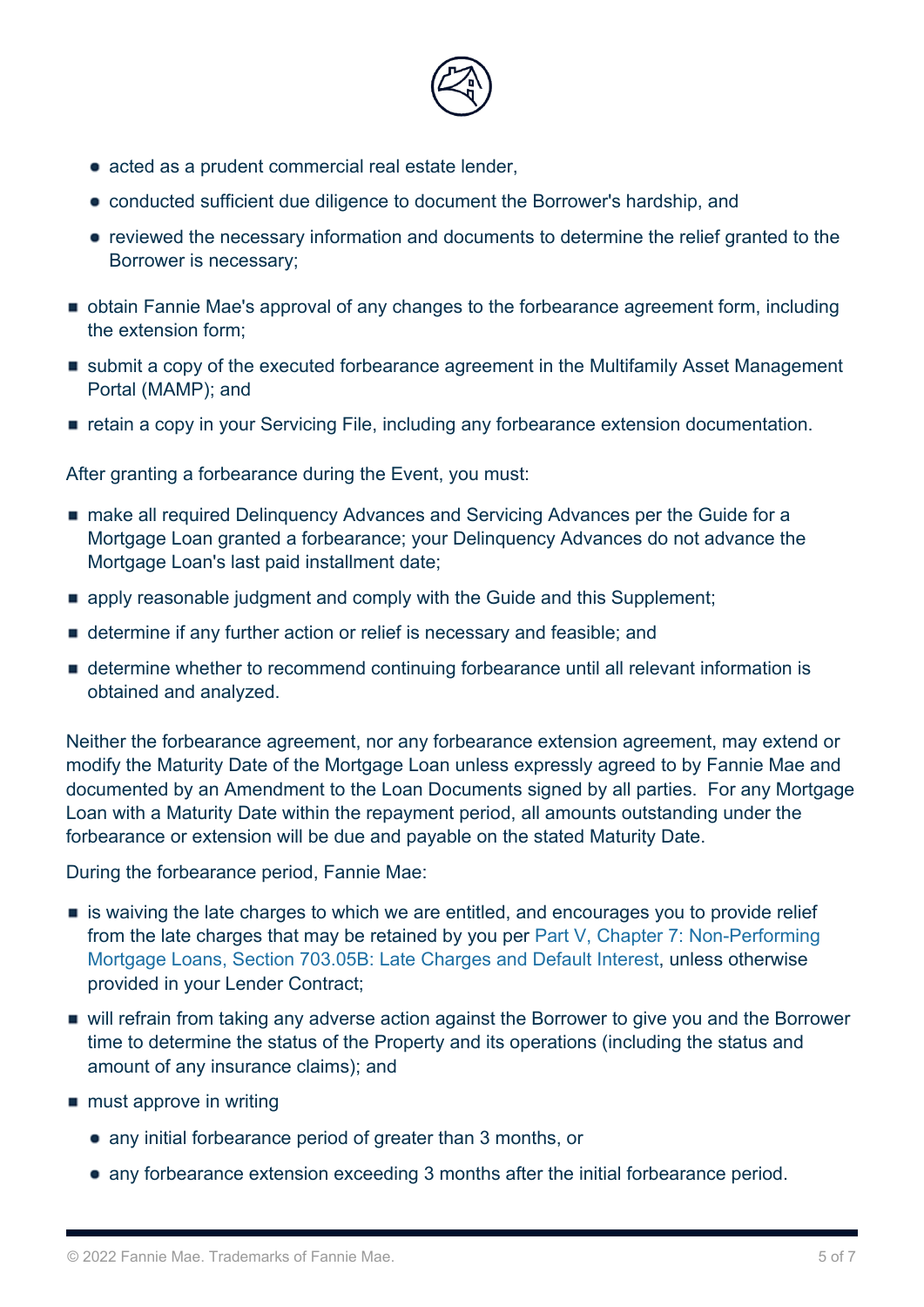

- acted as a prudent commercial real estate lender.
- conducted sufficient due diligence to document the Borrower's hardship, and
- reviewed the necessary information and documents to determine the relief granted to the Borrower is necessary;
- obtain Fannie Mae's approval of any changes to the forbearance agreement form, including the extension form;
- submit a copy of the executed forbearance agreement in the Multifamily Asset Management Portal (MAMP); and
- retain a copy in your Servicing File, including any forbearance extension documentation.

After granting a forbearance during the Event, you must:

- make all required Delinquency Advances and Servicing Advances per the Guide for a Mortgage Loan granted a forbearance; your Delinquency Advances do not advance the Mortgage Loan's last paid installment date;
- **Examply reasonable judgment and comply with the Guide and this Supplement;**
- determine if any further action or relief is necessary and feasible; and
- determine whether to recommend continuing forbearance until all relevant information is obtained and analyzed.

Neither the forbearance agreement, nor any forbearance extension agreement, may extend or modify the Maturity Date of the Mortgage Loan unless expressly agreed to by Fannie Mae and documented by an Amendment to the Loan Documents signed by all parties. For any Mortgage Loan with a Maturity Date within the repayment period, all amounts outstanding under the forbearance or extension will be due and payable on the stated Maturity Date.

During the forbearance period, Fannie Mae:

- **Example 13 is waiving the late charges to which we are entitled, and encourages you to provide relief** from the late charges that may be retained by you per [Part V, Chapter 7: Non-Performing](https://mfguide.fanniemae.com/node/8991) [Mortgage Loans, Section 703.05B: Late Charges and Default Interest,](https://mfguide.fanniemae.com/node/8991) unless otherwise provided in your Lender Contract;
- will refrain from taking any adverse action against the Borrower to give you and the Borrower time to determine the status of the Property and its operations (including the status and amount of any insurance claims); and
- $\blacksquare$  must approve in writing
	- any initial forbearance period of greater than 3 months, or
	- any forbearance extension exceeding 3 months after the initial forbearance period.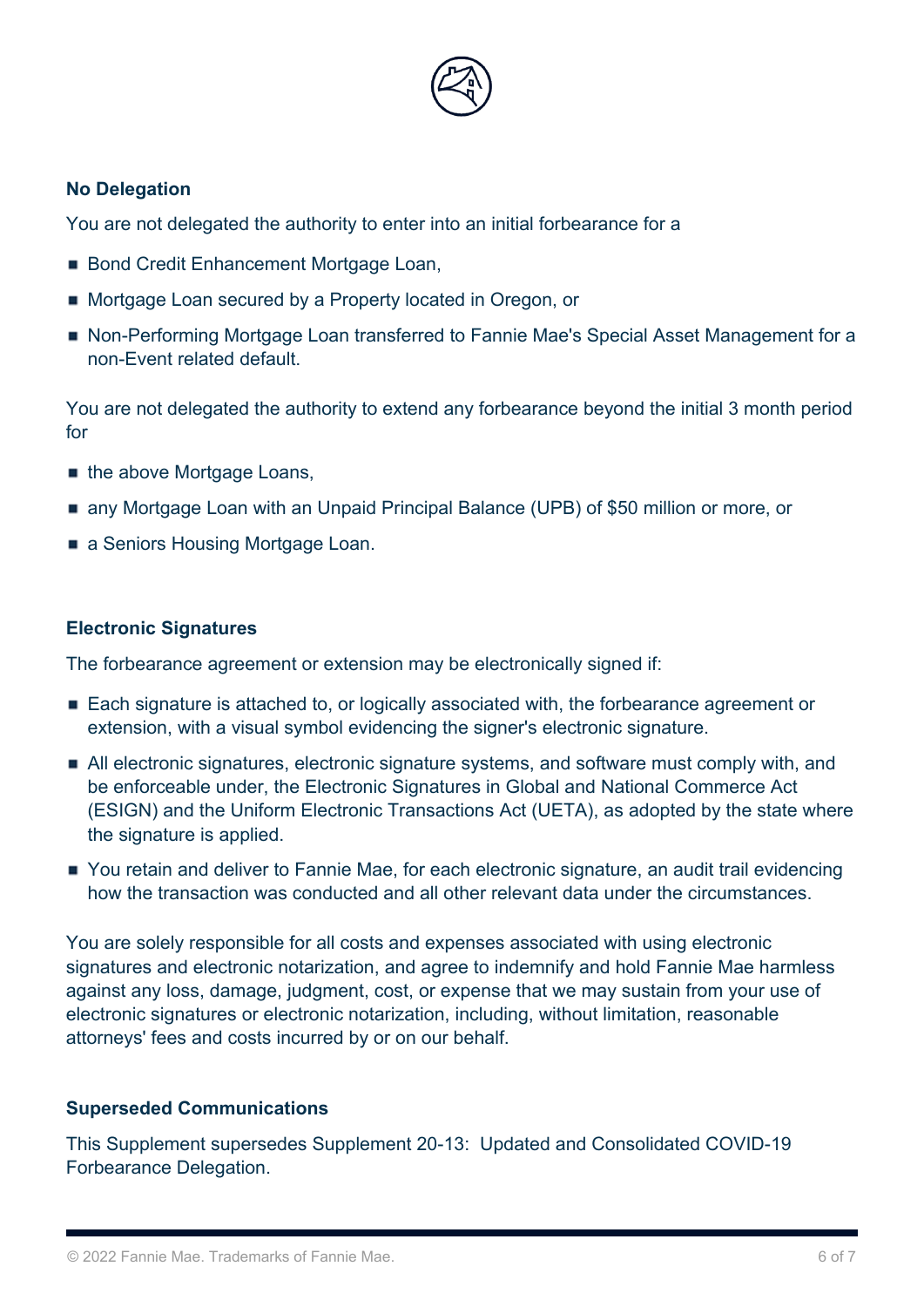

## **No Delegation**

You are not delegated the authority to enter into an initial forbearance for a

- Bond Credit Enhancement Mortgage Loan,
- **Mortgage Loan secured by a Property located in Oregon, or**
- Non-Performing Mortgage Loan transferred to Fannie Mae's Special Asset Management for a non-Event related default.

You are not delegated the authority to extend any forbearance beyond the initial 3 month period for

- the above Mortgage Loans,
- any Mortgage Loan with an Unpaid Principal Balance (UPB) of \$50 million or more, or
- a Seniors Housing Mortgage Loan.

## **Electronic Signatures**

The forbearance agreement or extension may be electronically signed if:

- Each signature is attached to, or logically associated with, the forbearance agreement or extension, with a visual symbol evidencing the signer's electronic signature.
- All electronic signatures, electronic signature systems, and software must comply with, and be enforceable under, the Electronic Signatures in Global and National Commerce Act (ESIGN) and the Uniform Electronic Transactions Act (UETA), as adopted by the state where the signature is applied.
- You retain and deliver to Fannie Mae, for each electronic signature, an audit trail evidencing how the transaction was conducted and all other relevant data under the circumstances.

You are solely responsible for all costs and expenses associated with using electronic signatures and electronic notarization, and agree to indemnify and hold Fannie Mae harmless against any loss, damage, judgment, cost, or expense that we may sustain from your use of electronic signatures or electronic notarization, including, without limitation, reasonable attorneys' fees and costs incurred by or on our behalf.

## **Superseded Communications**

This Supplement supersedes Supplement 20-13: Updated and Consolidated COVID-19 Forbearance Delegation.